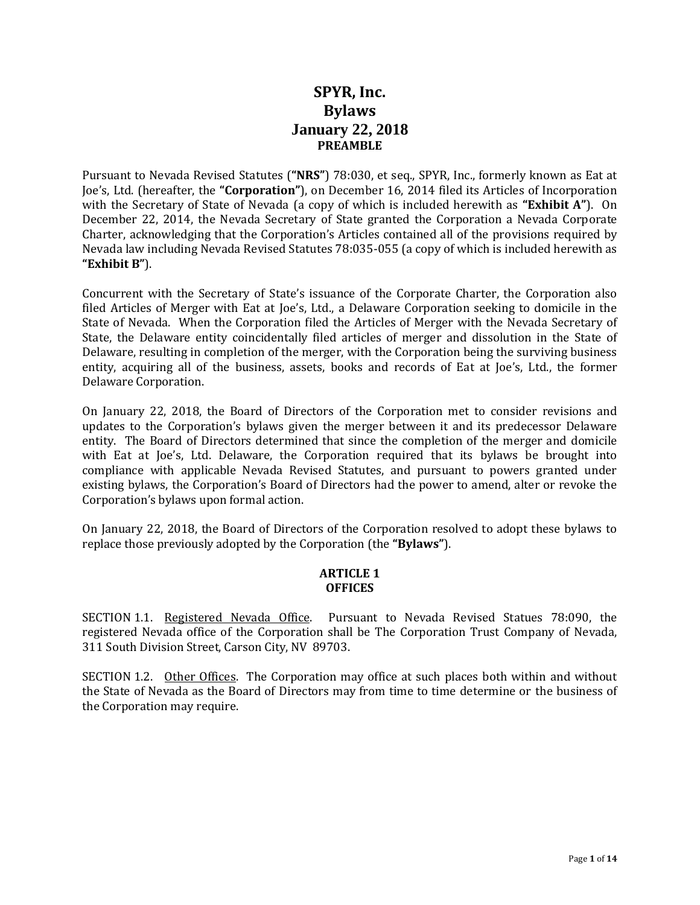# **SPYR, Inc. Bylaws January 22, 2018 PREAMBLE**

Pursuant to Nevada Revised Statutes (**"NRS"**) 78:030, et seq., SPYR, Inc., formerly known as Eat at Joe's, Ltd. (hereafter, the **"Corporation"**), on December 16, 2014 filed its Articles of Incorporation with the Secretary of State of Nevada (a copy of which is included herewith as **"Exhibit A"**). On December 22, 2014, the Nevada Secretary of State granted the Corporation a Nevada Corporate Charter, acknowledging that the Corporation's Articles contained all of the provisions required by Nevada law including Nevada Revised Statutes 78:035-055 (a copy of which is included herewith as **"Exhibit B"**).

Concurrent with the Secretary of State's issuance of the Corporate Charter, the Corporation also filed Articles of Merger with Eat at Joe's, Ltd., a Delaware Corporation seeking to domicile in the State of Nevada. When the Corporation filed the Articles of Merger with the Nevada Secretary of State, the Delaware entity coincidentally filed articles of merger and dissolution in the State of Delaware, resulting in completion of the merger, with the Corporation being the surviving business entity, acquiring all of the business, assets, books and records of Eat at Joe's, Ltd., the former Delaware Corporation.

On January 22, 2018, the Board of Directors of the Corporation met to consider revisions and updates to the Corporation's bylaws given the merger between it and its predecessor Delaware entity. The Board of Directors determined that since the completion of the merger and domicile with Eat at Joe's, Ltd. Delaware, the Corporation required that its bylaws be brought into compliance with applicable Nevada Revised Statutes, and pursuant to powers granted under existing bylaws, the Corporation's Board of Directors had the power to amend, alter or revoke the Corporation's bylaws upon formal action.

On January 22, 2018, the Board of Directors of the Corporation resolved to adopt these bylaws to replace those previously adopted by the Corporation (the **"Bylaws"**).

### **ARTICLE 1 OFFICES**

SECTION 1.1. Registered Nevada Office. Pursuant to Nevada Revised Statues 78:090, the registered Nevada office of the Corporation shall be The Corporation Trust Company of Nevada, 311 South Division Street, Carson City, NV 89703.

SECTION 1.2. Other Offices. The Corporation may office at such places both within and without the State of Nevada as the Board of Directors may from time to time determine or the business of the Corporation may require.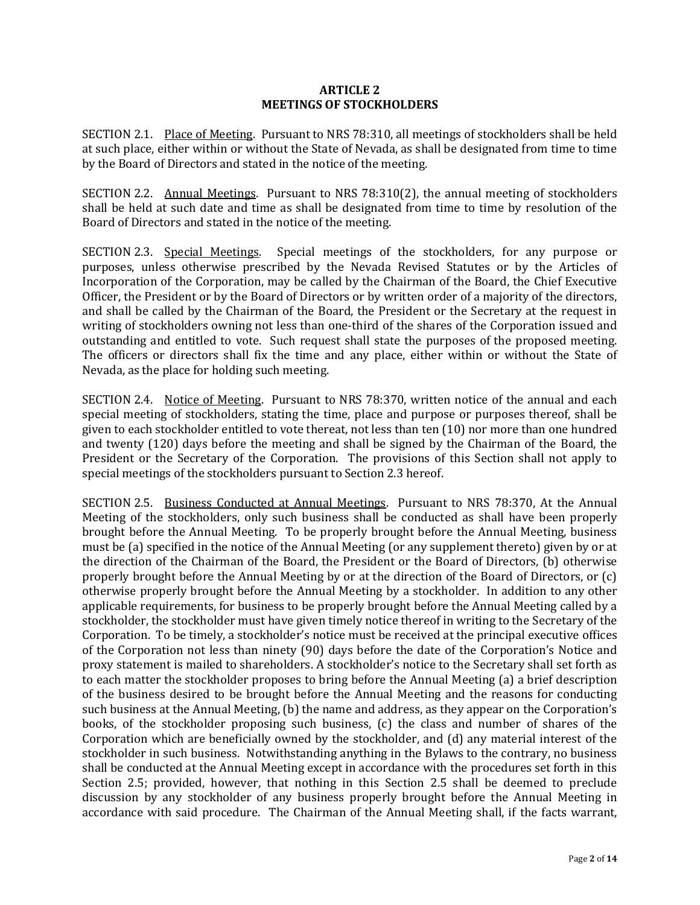#### **ARTICLE 2 MEETINGS OF STOCKHOLDERS**

SECTION 2.1. Place of Meeting. Pursuant to NRS 78:310, all meetings of stockholders shall be held at such place, either within or without the State of Nevada, as shall be designated from time to time by the Board of Directors and stated in the notice of the meeting.

SECTION 2.2. Annual Meetings. Pursuant to NRS 78:310(2), the annual meeting of stockholders shall be held at such date and time as shall be designated from time to time by resolution of the Board of Directors and stated in the notice of the meeting.

SECTION 2.3. Special Meetings. Special meetings of the stockholders, for any purpose or purposes, unless otherwise prescribed by the Nevada Revised Statutes or by the Articles of Incorporation of the Corporation, may be called by the Chairman of the Board, the Chief Executive Officer, the President or by the Board of Directors or by written order of a majority of the directors, and shall be called by the Chairman of the Board, the President or the Secretary at the request in writing of stockholders owning not less than one-third of the shares of the Corporation issued and outstanding and entitled to vote. Such request shall state the purposes of the proposed meeting. The officers or directors shall fix the time and any place, either within or without the State of Nevada, as the place for holding such meeting.

SECTION 2.4. Notice of Meeting. Pursuant to NRS 78:370, written notice of the annual and each special meeting of stockholders, stating the time, place and purpose or purposes thereof, shall be given to each stockholder entitled to vote thereat, not less than ten (10) nor more than one hundred and twenty (120) days before the meeting and shall be signed by the Chairman of the Board, the President or the Secretary of the Corporation. The provisions of this Section shall not apply to special meetings of the stockholders pursuant to Section 2.3 hereof.

SECTION 2.5. Business Conducted at Annual Meetings. Pursuant to NRS 78:370, At the Annual Meeting of the stockholders, only such business shall be conducted as shall have been properly brought before the Annual Meeting. To be properly brought before the Annual Meeting, business must be (a) specified in the notice of the Annual Meeting (or any supplement thereto) given by or at the direction of the Chairman of the Board, the President or the Board of Directors, (b) otherwise properly brought before the Annual Meeting by or at the direction of the Board of Directors, or (c) otherwise properly brought before the Annual Meeting by a stockholder. In addition to any other applicable requirements, for business to be properly brought before the Annual Meeting called by a stockholder, the stockholder must have given timely notice thereof in writing to the Secretary of the Corporation. To be timely, a stockholder's notice must be received at the principal executive offices of the Corporation not less than ninety (90) days before the date of the Corporation's Notice and proxy statement is mailed to shareholders. A stockholder's notice to the Secretary shall set forth as to each matter the stockholder proposes to bring before the Annual Meeting (a) a brief description of the business desired to be brought before the Annual Meeting and the reasons for conducting such business at the Annual Meeting, (b) the name and address, as they appear on the Corporation's books, of the stockholder proposing such business, (c) the class and number of shares of the Corporation which are beneficially owned by the stockholder, and (d) any material interest of the stockholder in such business. Notwithstanding anything in the Bylaws to the contrary, no business shall be conducted at the Annual Meeting except in accordance with the procedures set forth in this Section 2.5; provided, however, that nothing in this Section 2.5 shall be deemed to preclude discussion by any stockholder of any business properly brought before the Annual Meeting in accordance with said procedure. The Chairman of the Annual Meeting shall, if the facts warrant,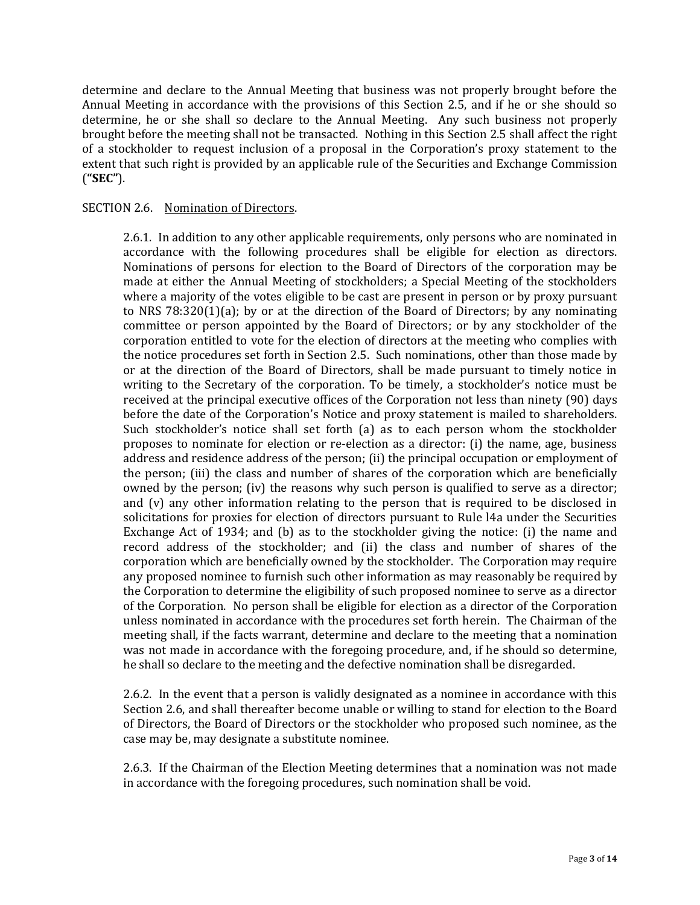determine and declare to the Annual Meeting that business was not properly brought before the Annual Meeting in accordance with the provisions of this Section 2.5, and if he or she should so determine, he or she shall so declare to the Annual Meeting. Any such business not properly brought before the meeting shall not be transacted. Nothing in this Section 2.5 shall affect the right of a stockholder to request inclusion of a proposal in the Corporation's proxy statement to the extent that such right is provided by an applicable rule of the Securities and Exchange Commission (**"SEC"**).

#### SECTION 2.6. Nomination of Directors.

2.6.1. In addition to any other applicable requirements, only persons who are nominated in accordance with the following procedures shall be eligible for election as directors. Nominations of persons for election to the Board of Directors of the corporation may be made at either the Annual Meeting of stockholders; a Special Meeting of the stockholders where a majority of the votes eligible to be cast are present in person or by proxy pursuant to NRS 78:320(1)(a); by or at the direction of the Board of Directors; by any nominating committee or person appointed by the Board of Directors; or by any stockholder of the corporation entitled to vote for the election of directors at the meeting who complies with the notice procedures set forth in Section 2.5. Such nominations, other than those made by or at the direction of the Board of Directors, shall be made pursuant to timely notice in writing to the Secretary of the corporation. To be timely, a stockholder's notice must be received at the principal executive offices of the Corporation not less than ninety (90) days before the date of the Corporation's Notice and proxy statement is mailed to shareholders. Such stockholder's notice shall set forth (a) as to each person whom the stockholder proposes to nominate for election or re-election as a director: (i) the name, age, business address and residence address of the person; (ii) the principal occupation or employment of the person; (iii) the class and number of shares of the corporation which are beneficially owned by the person; (iv) the reasons why such person is qualified to serve as a director; and (v) any other information relating to the person that is required to be disclosed in solicitations for proxies for election of directors pursuant to Rule l4a under the Securities Exchange Act of 1934; and (b) as to the stockholder giving the notice: (i) the name and record address of the stockholder; and (ii) the class and number of shares of the corporation which are beneficially owned by the stockholder. The Corporation may require any proposed nominee to furnish such other information as may reasonably be required by the Corporation to determine the eligibility of such proposed nominee to serve as a director of the Corporation. No person shall be eligible for election as a director of the Corporation unless nominated in accordance with the procedures set forth herein. The Chairman of the meeting shall, if the facts warrant, determine and declare to the meeting that a nomination was not made in accordance with the foregoing procedure, and, if he should so determine, he shall so declare to the meeting and the defective nomination shall be disregarded.

2.6.2. In the event that a person is validly designated as a nominee in accordance with this Section 2.6, and shall thereafter become unable or willing to stand for election to the Board of Directors, the Board of Directors or the stockholder who proposed such nominee, as the case may be, may designate a substitute nominee.

2.6.3. If the Chairman of the Election Meeting determines that a nomination was not made in accordance with the foregoing procedures, such nomination shall be void.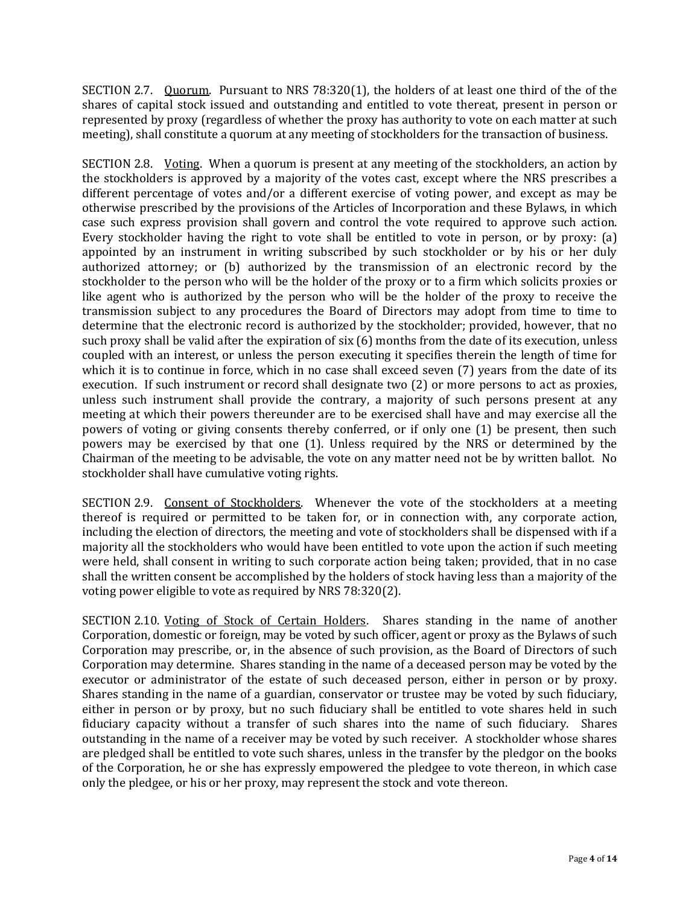SECTION 2.7. Quorum. Pursuant to NRS 78:320(1), the holders of at least one third of the of the shares of capital stock issued and outstanding and entitled to vote thereat, present in person or represented by proxy (regardless of whether the proxy has authority to vote on each matter at such meeting), shall constitute a quorum at any meeting of stockholders for the transaction of business.

SECTION 2.8. Voting. When a quorum is present at any meeting of the stockholders, an action by the stockholders is approved by a majority of the votes cast, except where the NRS prescribes a different percentage of votes and/or a different exercise of voting power, and except as may be otherwise prescribed by the provisions of the Articles of Incorporation and these Bylaws, in which case such express provision shall govern and control the vote required to approve such action. Every stockholder having the right to vote shall be entitled to vote in person, or by proxy: (a) appointed by an instrument in writing subscribed by such stockholder or by his or her duly authorized attorney; or (b) authorized by the transmission of an electronic record by the stockholder to the person who will be the holder of the proxy or to a firm which solicits proxies or like agent who is authorized by the person who will be the holder of the proxy to receive the transmission subject to any procedures the Board of Directors may adopt from time to time to determine that the electronic record is authorized by the stockholder; provided, however, that no such proxy shall be valid after the expiration of six (6) months from the date of its execution, unless coupled with an interest, or unless the person executing it specifies therein the length of time for which it is to continue in force, which in no case shall exceed seven (7) years from the date of its execution. If such instrument or record shall designate two (2) or more persons to act as proxies, unless such instrument shall provide the contrary, a majority of such persons present at any meeting at which their powers thereunder are to be exercised shall have and may exercise all the powers of voting or giving consents thereby conferred, or if only one (1) be present, then such powers may be exercised by that one (1). Unless required by the NRS or determined by the Chairman of the meeting to be advisable, the vote on any matter need not be by written ballot. No stockholder shall have cumulative voting rights.

SECTION 2.9. Consent of Stockholders. Whenever the vote of the stockholders at a meeting thereof is required or permitted to be taken for, or in connection with, any corporate action, including the election of directors, the meeting and vote of stockholders shall be dispensed with if a majority all the stockholders who would have been entitled to vote upon the action if such meeting were held, shall consent in writing to such corporate action being taken; provided, that in no case shall the written consent be accomplished by the holders of stock having less than a majority of the voting power eligible to vote as required by NRS 78:320(2).

SECTION 2.10. Voting of Stock of Certain Holders. Shares standing in the name of another Corporation, domestic or foreign, may be voted by such officer, agent or proxy as the Bylaws of such Corporation may prescribe, or, in the absence of such provision, as the Board of Directors of such Corporation may determine. Shares standing in the name of a deceased person may be voted by the executor or administrator of the estate of such deceased person, either in person or by proxy. Shares standing in the name of a guardian, conservator or trustee may be voted by such fiduciary, either in person or by proxy, but no such fiduciary shall be entitled to vote shares held in such fiduciary capacity without a transfer of such shares into the name of such fiduciary. Shares outstanding in the name of a receiver may be voted by such receiver. A stockholder whose shares are pledged shall be entitled to vote such shares, unless in the transfer by the pledgor on the books of the Corporation, he or she has expressly empowered the pledgee to vote thereon, in which case only the pledgee, or his or her proxy, may represent the stock and vote thereon.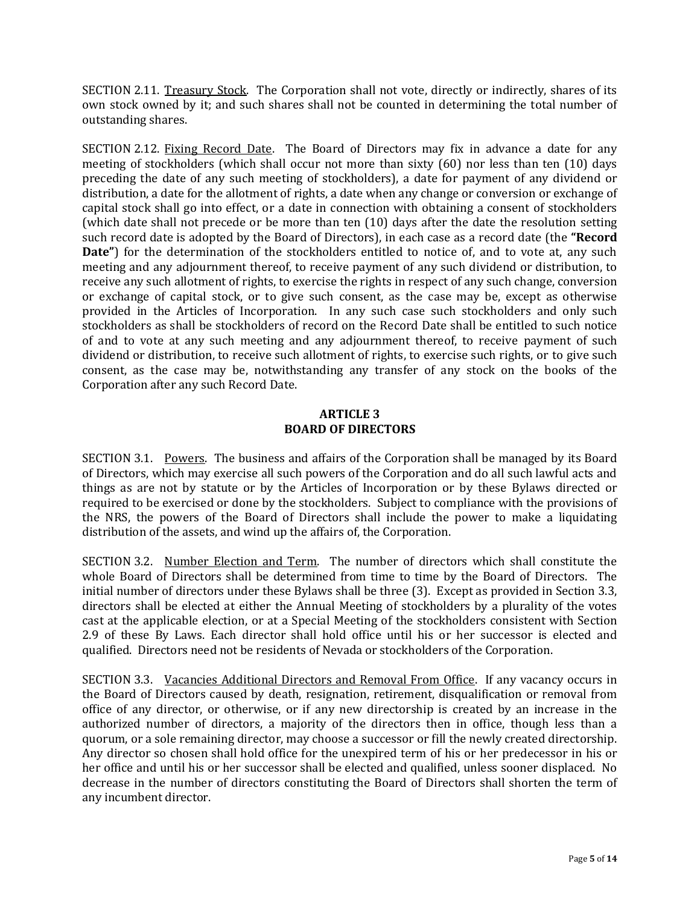SECTION 2.11. Treasury Stock. The Corporation shall not vote, directly or indirectly, shares of its own stock owned by it; and such shares shall not be counted in determining the total number of outstanding shares.

SECTION 2.12. Fixing Record Date. The Board of Directors may fix in advance a date for any meeting of stockholders (which shall occur not more than sixty (60) nor less than ten (10) days preceding the date of any such meeting of stockholders), a date for payment of any dividend or distribution, a date for the allotment of rights, a date when any change or conversion or exchange of capital stock shall go into effect, or a date in connection with obtaining a consent of stockholders (which date shall not precede or be more than ten (10) days after the date the resolution setting such record date is adopted by the Board of Directors), in each case as a record date (the **"Record Date"**) for the determination of the stockholders entitled to notice of, and to vote at, any such meeting and any adjournment thereof, to receive payment of any such dividend or distribution, to receive any such allotment of rights, to exercise the rights in respect of any such change, conversion or exchange of capital stock, or to give such consent, as the case may be, except as otherwise provided in the Articles of Incorporation. In any such case such stockholders and only such stockholders as shall be stockholders of record on the Record Date shall be entitled to such notice of and to vote at any such meeting and any adjournment thereof, to receive payment of such dividend or distribution, to receive such allotment of rights, to exercise such rights, or to give such consent, as the case may be, notwithstanding any transfer of any stock on the books of the Corporation after any such Record Date.

## **ARTICLE 3 BOARD OF DIRECTORS**

SECTION 3.1. Powers. The business and affairs of the Corporation shall be managed by its Board of Directors, which may exercise all such powers of the Corporation and do all such lawful acts and things as are not by statute or by the Articles of Incorporation or by these Bylaws directed or required to be exercised or done by the stockholders. Subject to compliance with the provisions of the NRS, the powers of the Board of Directors shall include the power to make a liquidating distribution of the assets, and wind up the affairs of, the Corporation.

SECTION 3.2. Number Election and Term. The number of directors which shall constitute the whole Board of Directors shall be determined from time to time by the Board of Directors. The initial number of directors under these Bylaws shall be three (3). Except as provided in Section 3.3, directors shall be elected at either the Annual Meeting of stockholders by a plurality of the votes cast at the applicable election, or at a Special Meeting of the stockholders consistent with Section 2.9 of these By Laws. Each director shall hold office until his or her successor is elected and qualified. Directors need not be residents of Nevada or stockholders of the Corporation.

SECTION 3.3. Vacancies Additional Directors and Removal From Office. If any vacancy occurs in the Board of Directors caused by death, resignation, retirement, disqualification or removal from office of any director, or otherwise, or if any new directorship is created by an increase in the authorized number of directors, a majority of the directors then in office, though less than a quorum, or a sole remaining director, may choose a successor or fill the newly created directorship. Any director so chosen shall hold office for the unexpired term of his or her predecessor in his or her office and until his or her successor shall be elected and qualified, unless sooner displaced. No decrease in the number of directors constituting the Board of Directors shall shorten the term of any incumbent director.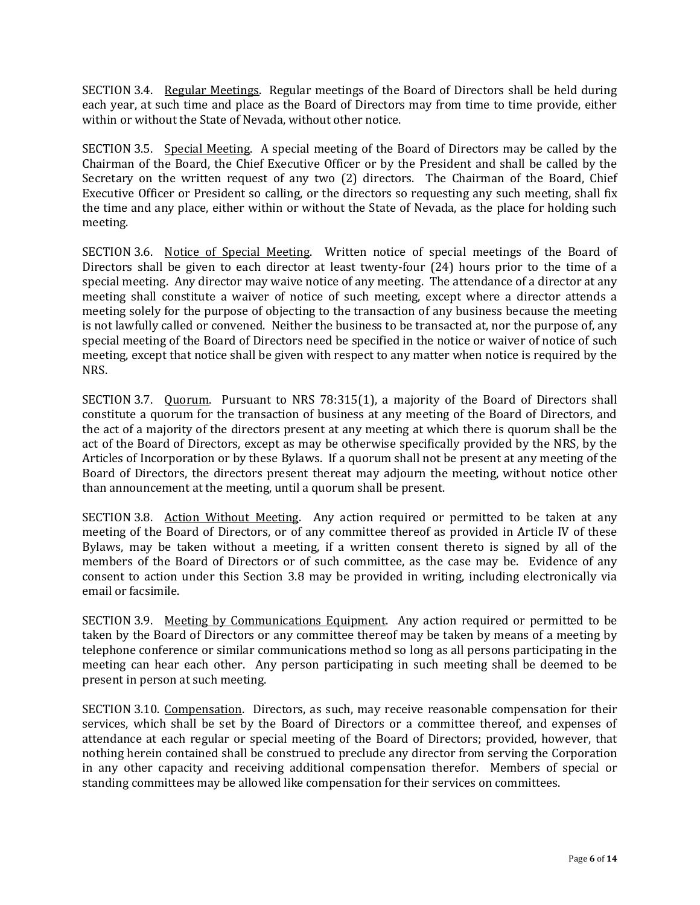SECTION 3.4. Regular Meetings. Regular meetings of the Board of Directors shall be held during each year, at such time and place as the Board of Directors may from time to time provide, either within or without the State of Nevada, without other notice.

SECTION 3.5. Special Meeting. A special meeting of the Board of Directors may be called by the Chairman of the Board, the Chief Executive Officer or by the President and shall be called by the Secretary on the written request of any two (2) directors. The Chairman of the Board, Chief Executive Officer or President so calling, or the directors so requesting any such meeting, shall fix the time and any place, either within or without the State of Nevada, as the place for holding such meeting.

SECTION 3.6. Notice of Special Meeting. Written notice of special meetings of the Board of Directors shall be given to each director at least twenty-four (24) hours prior to the time of a special meeting. Any director may waive notice of any meeting. The attendance of a director at any meeting shall constitute a waiver of notice of such meeting, except where a director attends a meeting solely for the purpose of objecting to the transaction of any business because the meeting is not lawfully called or convened. Neither the business to be transacted at, nor the purpose of, any special meeting of the Board of Directors need be specified in the notice or waiver of notice of such meeting, except that notice shall be given with respect to any matter when notice is required by the NRS.

SECTION 3.7. Quorum. Pursuant to NRS 78:315(1), a majority of the Board of Directors shall constitute a quorum for the transaction of business at any meeting of the Board of Directors, and the act of a majority of the directors present at any meeting at which there is quorum shall be the act of the Board of Directors, except as may be otherwise specifically provided by the NRS, by the Articles of Incorporation or by these Bylaws. If a quorum shall not be present at any meeting of the Board of Directors, the directors present thereat may adjourn the meeting, without notice other than announcement at the meeting, until a quorum shall be present.

SECTION 3.8. Action Without Meeting. Any action required or permitted to be taken at any meeting of the Board of Directors, or of any committee thereof as provided in Article IV of these Bylaws, may be taken without a meeting, if a written consent thereto is signed by all of the members of the Board of Directors or of such committee, as the case may be. Evidence of any consent to action under this Section 3.8 may be provided in writing, including electronically via email or facsimile.

SECTION 3.9. Meeting by Communications Equipment. Any action required or permitted to be taken by the Board of Directors or any committee thereof may be taken by means of a meeting by telephone conference or similar communications method so long as all persons participating in the meeting can hear each other. Any person participating in such meeting shall be deemed to be present in person at such meeting.

SECTION 3.10. Compensation. Directors, as such, may receive reasonable compensation for their services, which shall be set by the Board of Directors or a committee thereof, and expenses of attendance at each regular or special meeting of the Board of Directors; provided, however, that nothing herein contained shall be construed to preclude any director from serving the Corporation in any other capacity and receiving additional compensation therefor. Members of special or standing committees may be allowed like compensation for their services on committees.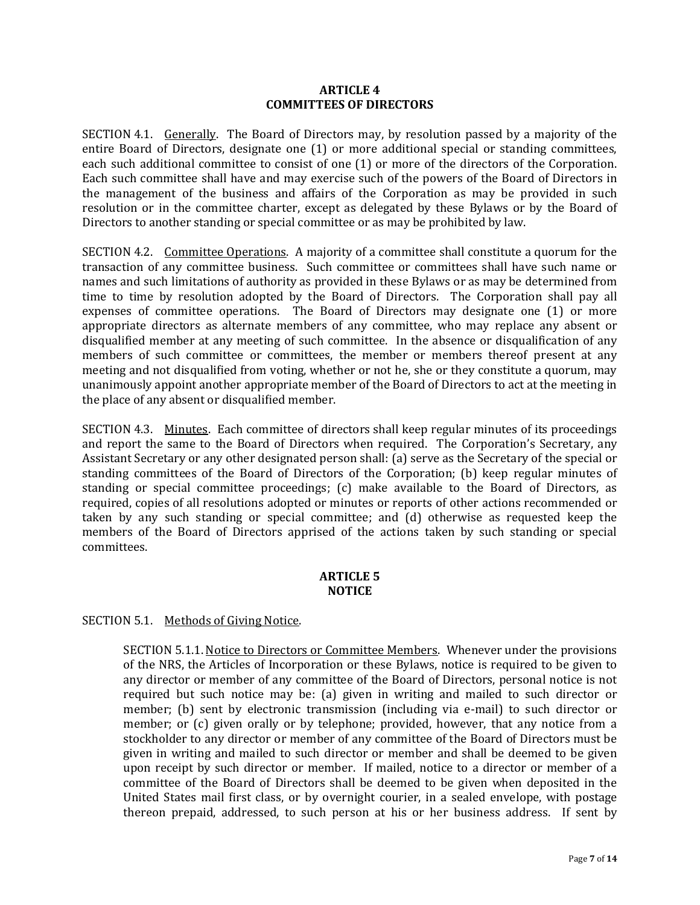#### **ARTICLE 4 COMMITTEES OF DIRECTORS**

SECTION 4.1. Generally. The Board of Directors may, by resolution passed by a majority of the entire Board of Directors, designate one (1) or more additional special or standing committees, each such additional committee to consist of one (1) or more of the directors of the Corporation. Each such committee shall have and may exercise such of the powers of the Board of Directors in the management of the business and affairs of the Corporation as may be provided in such resolution or in the committee charter, except as delegated by these Bylaws or by the Board of Directors to another standing or special committee or as may be prohibited by law.

SECTION 4.2. Committee Operations. A majority of a committee shall constitute a quorum for the transaction of any committee business. Such committee or committees shall have such name or names and such limitations of authority as provided in these Bylaws or as may be determined from time to time by resolution adopted by the Board of Directors. The Corporation shall pay all expenses of committee operations. The Board of Directors may designate one (1) or more appropriate directors as alternate members of any committee, who may replace any absent or disqualified member at any meeting of such committee. In the absence or disqualification of any members of such committee or committees, the member or members thereof present at any meeting and not disqualified from voting, whether or not he, she or they constitute a quorum, may unanimously appoint another appropriate member of the Board of Directors to act at the meeting in the place of any absent or disqualified member.

SECTION 4.3. Minutes. Each committee of directors shall keep regular minutes of its proceedings and report the same to the Board of Directors when required. The Corporation's Secretary, any Assistant Secretary or any other designated person shall: (a) serve as the Secretary of the special or standing committees of the Board of Directors of the Corporation; (b) keep regular minutes of standing or special committee proceedings; (c) make available to the Board of Directors, as required, copies of all resolutions adopted or minutes or reports of other actions recommended or taken by any such standing or special committee; and (d) otherwise as requested keep the members of the Board of Directors apprised of the actions taken by such standing or special committees.

## **ARTICLE 5 NOTICE**

### SECTION 5.1. Methods of Giving Notice.

SECTION 5.1.1. Notice to Directors or Committee Members. Whenever under the provisions of the NRS, the Articles of Incorporation or these Bylaws, notice is required to be given to any director or member of any committee of the Board of Directors, personal notice is not required but such notice may be: (a) given in writing and mailed to such director or member; (b) sent by electronic transmission (including via e-mail) to such director or member; or (c) given orally or by telephone; provided, however, that any notice from a stockholder to any director or member of any committee of the Board of Directors must be given in writing and mailed to such director or member and shall be deemed to be given upon receipt by such director or member. If mailed, notice to a director or member of a committee of the Board of Directors shall be deemed to be given when deposited in the United States mail first class, or by overnight courier, in a sealed envelope, with postage thereon prepaid, addressed, to such person at his or her business address. If sent by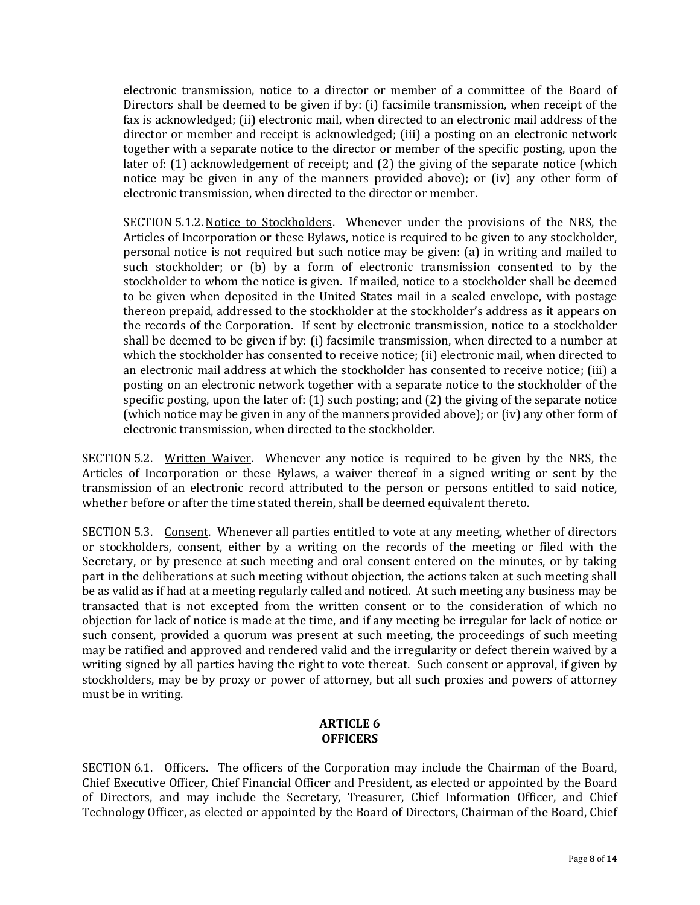electronic transmission, notice to a director or member of a committee of the Board of Directors shall be deemed to be given if by: (i) facsimile transmission, when receipt of the fax is acknowledged; (ii) electronic mail, when directed to an electronic mail address of the director or member and receipt is acknowledged; (iii) a posting on an electronic network together with a separate notice to the director or member of the specific posting, upon the later of: (1) acknowledgement of receipt; and (2) the giving of the separate notice (which notice may be given in any of the manners provided above); or (iv) any other form of electronic transmission, when directed to the director or member.

SECTION 5.1.2. Notice to Stockholders. Whenever under the provisions of the NRS, the Articles of Incorporation or these Bylaws, notice is required to be given to any stockholder, personal notice is not required but such notice may be given: (a) in writing and mailed to such stockholder; or (b) by a form of electronic transmission consented to by the stockholder to whom the notice is given. If mailed, notice to a stockholder shall be deemed to be given when deposited in the United States mail in a sealed envelope, with postage thereon prepaid, addressed to the stockholder at the stockholder's address as it appears on the records of the Corporation. If sent by electronic transmission, notice to a stockholder shall be deemed to be given if by: (i) facsimile transmission, when directed to a number at which the stockholder has consented to receive notice; (ii) electronic mail, when directed to an electronic mail address at which the stockholder has consented to receive notice; (iii) a posting on an electronic network together with a separate notice to the stockholder of the specific posting, upon the later of: (1) such posting; and (2) the giving of the separate notice (which notice may be given in any of the manners provided above); or (iv) any other form of electronic transmission, when directed to the stockholder.

SECTION 5.2. Written Waiver. Whenever any notice is required to be given by the NRS, the Articles of Incorporation or these Bylaws, a waiver thereof in a signed writing or sent by the transmission of an electronic record attributed to the person or persons entitled to said notice, whether before or after the time stated therein, shall be deemed equivalent thereto.

SECTION 5.3. Consent. Whenever all parties entitled to vote at any meeting, whether of directors or stockholders, consent, either by a writing on the records of the meeting or filed with the Secretary, or by presence at such meeting and oral consent entered on the minutes, or by taking part in the deliberations at such meeting without objection, the actions taken at such meeting shall be as valid as if had at a meeting regularly called and noticed. At such meeting any business may be transacted that is not excepted from the written consent or to the consideration of which no objection for lack of notice is made at the time, and if any meeting be irregular for lack of notice or such consent, provided a quorum was present at such meeting, the proceedings of such meeting may be ratified and approved and rendered valid and the irregularity or defect therein waived by a writing signed by all parties having the right to vote thereat. Such consent or approval, if given by stockholders, may be by proxy or power of attorney, but all such proxies and powers of attorney must be in writing.

# **ARTICLE 6 OFFICERS**

SECTION 6.1. Officers. The officers of the Corporation may include the Chairman of the Board, Chief Executive Officer, Chief Financial Officer and President, as elected or appointed by the Board of Directors, and may include the Secretary, Treasurer, Chief Information Officer, and Chief Technology Officer, as elected or appointed by the Board of Directors, Chairman of the Board, Chief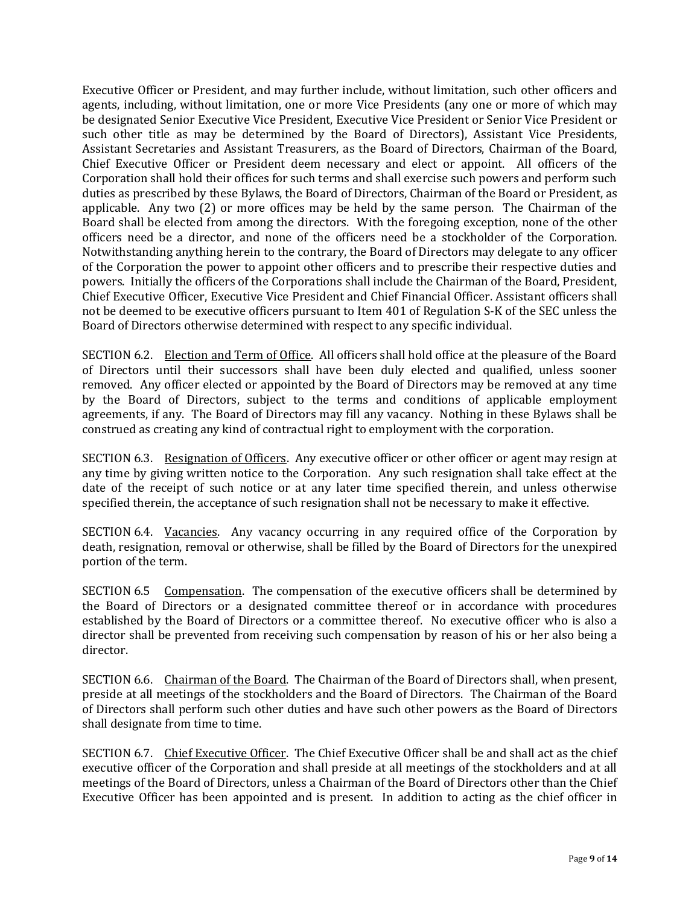Executive Officer or President, and may further include, without limitation, such other officers and agents, including, without limitation, one or more Vice Presidents (any one or more of which may be designated Senior Executive Vice President, Executive Vice President or Senior Vice President or such other title as may be determined by the Board of Directors), Assistant Vice Presidents, Assistant Secretaries and Assistant Treasurers, as the Board of Directors, Chairman of the Board, Chief Executive Officer or President deem necessary and elect or appoint. All officers of the Corporation shall hold their offices for such terms and shall exercise such powers and perform such duties as prescribed by these Bylaws, the Board of Directors, Chairman of the Board or President, as applicable. Any two (2) or more offices may be held by the same person. The Chairman of the Board shall be elected from among the directors. With the foregoing exception, none of the other officers need be a director, and none of the officers need be a stockholder of the Corporation. Notwithstanding anything herein to the contrary, the Board of Directors may delegate to any officer of the Corporation the power to appoint other officers and to prescribe their respective duties and powers. Initially the officers of the Corporations shall include the Chairman of the Board, President, Chief Executive Officer, Executive Vice President and Chief Financial Officer. Assistant officers shall not be deemed to be executive officers pursuant to Item 401 of Regulation S-K of the SEC unless the Board of Directors otherwise determined with respect to any specific individual.

SECTION 6.2. Election and Term of Office. All officers shall hold office at the pleasure of the Board of Directors until their successors shall have been duly elected and qualified, unless sooner removed. Any officer elected or appointed by the Board of Directors may be removed at any time by the Board of Directors, subject to the terms and conditions of applicable employment agreements, if any. The Board of Directors may fill any vacancy. Nothing in these Bylaws shall be construed as creating any kind of contractual right to employment with the corporation.

SECTION 6.3. Resignation of Officers. Any executive officer or other officer or agent may resign at any time by giving written notice to the Corporation. Any such resignation shall take effect at the date of the receipt of such notice or at any later time specified therein, and unless otherwise specified therein, the acceptance of such resignation shall not be necessary to make it effective.

SECTION 6.4. Vacancies. Any vacancy occurring in any required office of the Corporation by death, resignation, removal or otherwise, shall be filled by the Board of Directors for the unexpired portion of the term.

SECTION 6.5 Compensation. The compensation of the executive officers shall be determined by the Board of Directors or a designated committee thereof or in accordance with procedures established by the Board of Directors or a committee thereof. No executive officer who is also a director shall be prevented from receiving such compensation by reason of his or her also being a director.

SECTION 6.6. Chairman of the Board. The Chairman of the Board of Directors shall, when present, preside at all meetings of the stockholders and the Board of Directors. The Chairman of the Board of Directors shall perform such other duties and have such other powers as the Board of Directors shall designate from time to time.

SECTION 6.7. Chief Executive Officer. The Chief Executive Officer shall be and shall act as the chief executive officer of the Corporation and shall preside at all meetings of the stockholders and at all meetings of the Board of Directors, unless a Chairman of the Board of Directors other than the Chief Executive Officer has been appointed and is present. In addition to acting as the chief officer in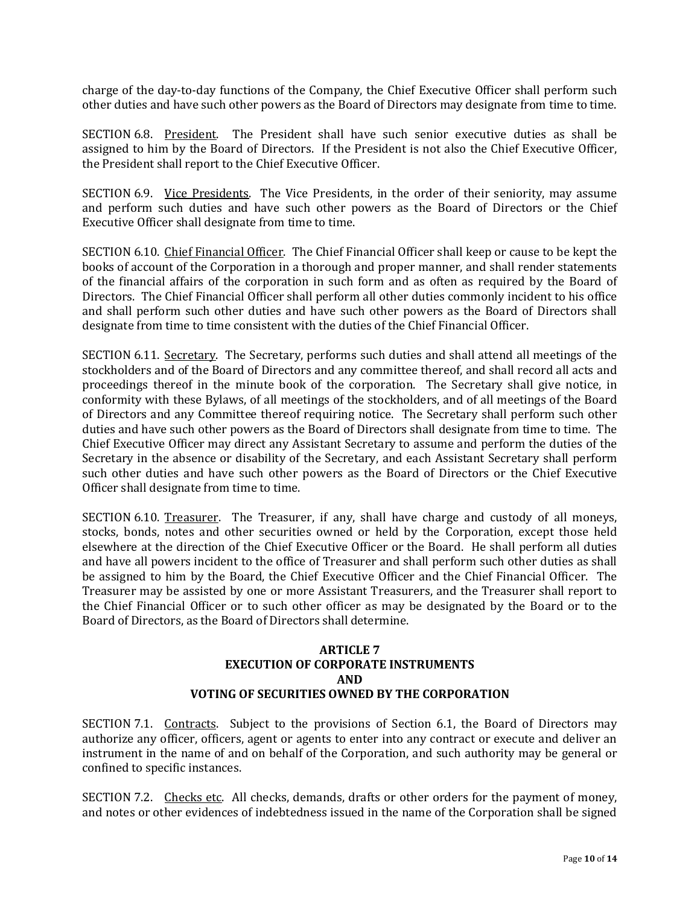charge of the day-to-day functions of the Company, the Chief Executive Officer shall perform such other duties and have such other powers as the Board of Directors may designate from time to time.

SECTION 6.8. President. The President shall have such senior executive duties as shall be assigned to him by the Board of Directors. If the President is not also the Chief Executive Officer, the President shall report to the Chief Executive Officer.

SECTION 6.9. Vice Presidents. The Vice Presidents, in the order of their seniority, may assume and perform such duties and have such other powers as the Board of Directors or the Chief Executive Officer shall designate from time to time.

SECTION 6.10. Chief Financial Officer. The Chief Financial Officer shall keep or cause to be kept the books of account of the Corporation in a thorough and proper manner, and shall render statements of the financial affairs of the corporation in such form and as often as required by the Board of Directors. The Chief Financial Officer shall perform all other duties commonly incident to his office and shall perform such other duties and have such other powers as the Board of Directors shall designate from time to time consistent with the duties of the Chief Financial Officer.

SECTION 6.11. Secretary. The Secretary, performs such duties and shall attend all meetings of the stockholders and of the Board of Directors and any committee thereof, and shall record all acts and proceedings thereof in the minute book of the corporation. The Secretary shall give notice, in conformity with these Bylaws, of all meetings of the stockholders, and of all meetings of the Board of Directors and any Committee thereof requiring notice. The Secretary shall perform such other duties and have such other powers as the Board of Directors shall designate from time to time. The Chief Executive Officer may direct any Assistant Secretary to assume and perform the duties of the Secretary in the absence or disability of the Secretary, and each Assistant Secretary shall perform such other duties and have such other powers as the Board of Directors or the Chief Executive Officer shall designate from time to time.

SECTION 6.10. Treasurer. The Treasurer, if any, shall have charge and custody of all moneys, stocks, bonds, notes and other securities owned or held by the Corporation, except those held elsewhere at the direction of the Chief Executive Officer or the Board. He shall perform all duties and have all powers incident to the office of Treasurer and shall perform such other duties as shall be assigned to him by the Board, the Chief Executive Officer and the Chief Financial Officer. The Treasurer may be assisted by one or more Assistant Treasurers, and the Treasurer shall report to the Chief Financial Officer or to such other officer as may be designated by the Board or to the Board of Directors, as the Board of Directors shall determine.

### **ARTICLE 7 EXECUTION OF CORPORATE INSTRUMENTS AND VOTING OF SECURITIES OWNED BY THE CORPORATION**

SECTION 7.1. Contracts. Subject to the provisions of Section 6.1, the Board of Directors may authorize any officer, officers, agent or agents to enter into any contract or execute and deliver an instrument in the name of and on behalf of the Corporation, and such authority may be general or confined to specific instances.

SECTION 7.2. Checks etc. All checks, demands, drafts or other orders for the payment of money, and notes or other evidences of indebtedness issued in the name of the Corporation shall be signed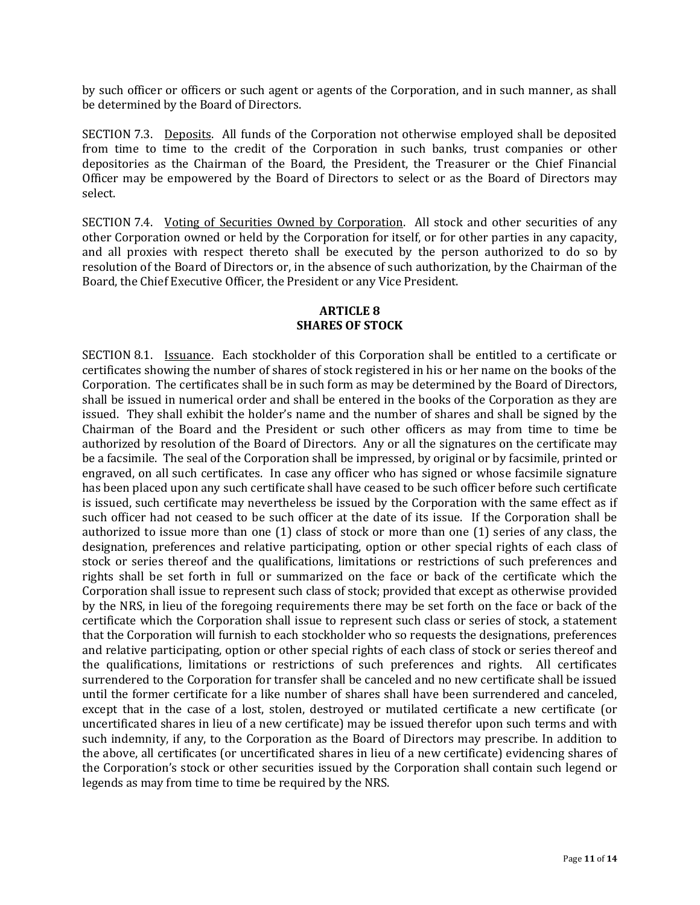by such officer or officers or such agent or agents of the Corporation, and in such manner, as shall be determined by the Board of Directors.

SECTION 7.3. Deposits. All funds of the Corporation not otherwise employed shall be deposited from time to time to the credit of the Corporation in such banks, trust companies or other depositories as the Chairman of the Board, the President, the Treasurer or the Chief Financial Officer may be empowered by the Board of Directors to select or as the Board of Directors may select.

SECTION 7.4. Voting of Securities Owned by Corporation. All stock and other securities of any other Corporation owned or held by the Corporation for itself, or for other parties in any capacity, and all proxies with respect thereto shall be executed by the person authorized to do so by resolution of the Board of Directors or, in the absence of such authorization, by the Chairman of the Board, the Chief Executive Officer, the President or any Vice President.

# **ARTICLE 8 SHARES OF STOCK**

SECTION 8.1. Issuance. Each stockholder of this Corporation shall be entitled to a certificate or certificates showing the number of shares of stock registered in his or her name on the books of the Corporation. The certificates shall be in such form as may be determined by the Board of Directors, shall be issued in numerical order and shall be entered in the books of the Corporation as they are issued. They shall exhibit the holder's name and the number of shares and shall be signed by the Chairman of the Board and the President or such other officers as may from time to time be authorized by resolution of the Board of Directors. Any or all the signatures on the certificate may be a facsimile. The seal of the Corporation shall be impressed, by original or by facsimile, printed or engraved, on all such certificates. In case any officer who has signed or whose facsimile signature has been placed upon any such certificate shall have ceased to be such officer before such certificate is issued, such certificate may nevertheless be issued by the Corporation with the same effect as if such officer had not ceased to be such officer at the date of its issue. If the Corporation shall be authorized to issue more than one (1) class of stock or more than one (1) series of any class, the designation, preferences and relative participating, option or other special rights of each class of stock or series thereof and the qualifications, limitations or restrictions of such preferences and rights shall be set forth in full or summarized on the face or back of the certificate which the Corporation shall issue to represent such class of stock; provided that except as otherwise provided by the NRS, in lieu of the foregoing requirements there may be set forth on the face or back of the certificate which the Corporation shall issue to represent such class or series of stock, a statement that the Corporation will furnish to each stockholder who so requests the designations, preferences and relative participating, option or other special rights of each class of stock or series thereof and the qualifications, limitations or restrictions of such preferences and rights. All certificates surrendered to the Corporation for transfer shall be canceled and no new certificate shall be issued until the former certificate for a like number of shares shall have been surrendered and canceled, except that in the case of a lost, stolen, destroyed or mutilated certificate a new certificate (or uncertificated shares in lieu of a new certificate) may be issued therefor upon such terms and with such indemnity, if any, to the Corporation as the Board of Directors may prescribe. In addition to the above, all certificates (or uncertificated shares in lieu of a new certificate) evidencing shares of the Corporation's stock or other securities issued by the Corporation shall contain such legend or legends as may from time to time be required by the NRS.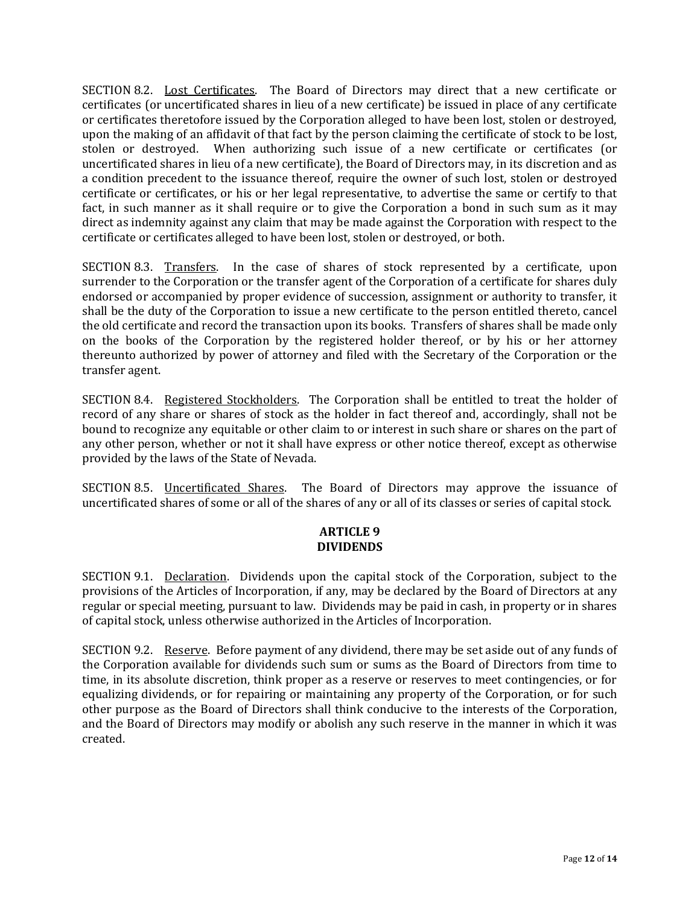SECTION 8.2. Lost Certificates. The Board of Directors may direct that a new certificate or certificates (or uncertificated shares in lieu of a new certificate) be issued in place of any certificate or certificates theretofore issued by the Corporation alleged to have been lost, stolen or destroyed, upon the making of an affidavit of that fact by the person claiming the certificate of stock to be lost, stolen or destroyed. When authorizing such issue of a new certificate or certificates (or uncertificated shares in lieu of a new certificate), the Board of Directors may, in its discretion and as a condition precedent to the issuance thereof, require the owner of such lost, stolen or destroyed certificate or certificates, or his or her legal representative, to advertise the same or certify to that fact, in such manner as it shall require or to give the Corporation a bond in such sum as it may direct as indemnity against any claim that may be made against the Corporation with respect to the certificate or certificates alleged to have been lost, stolen or destroyed, or both.

SECTION 8.3. Transfers. In the case of shares of stock represented by a certificate, upon surrender to the Corporation or the transfer agent of the Corporation of a certificate for shares duly endorsed or accompanied by proper evidence of succession, assignment or authority to transfer, it shall be the duty of the Corporation to issue a new certificate to the person entitled thereto, cancel the old certificate and record the transaction upon its books. Transfers of shares shall be made only on the books of the Corporation by the registered holder thereof, or by his or her attorney thereunto authorized by power of attorney and filed with the Secretary of the Corporation or the transfer agent.

SECTION 8.4. Registered Stockholders. The Corporation shall be entitled to treat the holder of record of any share or shares of stock as the holder in fact thereof and, accordingly, shall not be bound to recognize any equitable or other claim to or interest in such share or shares on the part of any other person, whether or not it shall have express or other notice thereof, except as otherwise provided by the laws of the State of Nevada.

SECTION 8.5. Uncertificated Shares. The Board of Directors may approve the issuance of uncertificated shares of some or all of the shares of any or all of its classes or series of capital stock.

## **ARTICLE 9 DIVIDENDS**

SECTION 9.1. Declaration. Dividends upon the capital stock of the Corporation, subject to the provisions of the Articles of Incorporation, if any, may be declared by the Board of Directors at any regular or special meeting, pursuant to law. Dividends may be paid in cash, in property or in shares of capital stock, unless otherwise authorized in the Articles of Incorporation.

SECTION 9.2. Reserve. Before payment of any dividend, there may be set aside out of any funds of the Corporation available for dividends such sum or sums as the Board of Directors from time to time, in its absolute discretion, think proper as a reserve or reserves to meet contingencies, or for equalizing dividends, or for repairing or maintaining any property of the Corporation, or for such other purpose as the Board of Directors shall think conducive to the interests of the Corporation, and the Board of Directors may modify or abolish any such reserve in the manner in which it was created.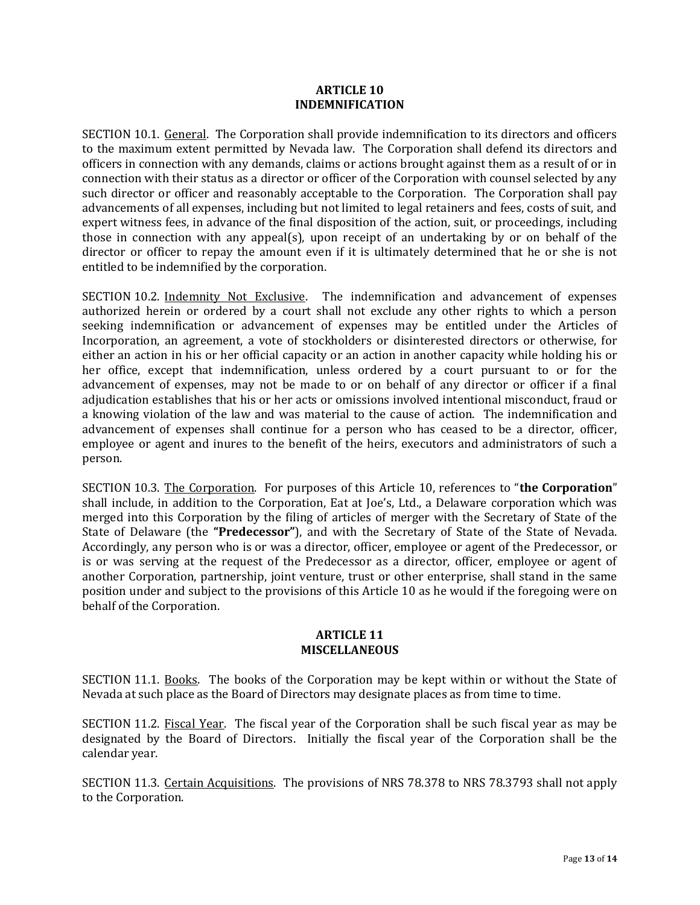#### **ARTICLE 10 INDEMNIFICATION**

SECTION 10.1. General. The Corporation shall provide indemnification to its directors and officers to the maximum extent permitted by Nevada law. The Corporation shall defend its directors and officers in connection with any demands, claims or actions brought against them as a result of or in connection with their status as a director or officer of the Corporation with counsel selected by any such director or officer and reasonably acceptable to the Corporation. The Corporation shall pay advancements of all expenses, including but not limited to legal retainers and fees, costs of suit, and expert witness fees, in advance of the final disposition of the action, suit, or proceedings, including those in connection with any appeal(s), upon receipt of an undertaking by or on behalf of the director or officer to repay the amount even if it is ultimately determined that he or she is not entitled to be indemnified by the corporation.

SECTION 10.2. Indemnity Not Exclusive. The indemnification and advancement of expenses authorized herein or ordered by a court shall not exclude any other rights to which a person seeking indemnification or advancement of expenses may be entitled under the Articles of Incorporation, an agreement, a vote of stockholders or disinterested directors or otherwise, for either an action in his or her official capacity or an action in another capacity while holding his or her office, except that indemnification, unless ordered by a court pursuant to or for the advancement of expenses, may not be made to or on behalf of any director or officer if a final adjudication establishes that his or her acts or omissions involved intentional misconduct, fraud or a knowing violation of the law and was material to the cause of action. The indemnification and advancement of expenses shall continue for a person who has ceased to be a director, officer, employee or agent and inures to the benefit of the heirs, executors and administrators of such a person.

SECTION 10.3. The Corporation. For purposes of this Article 10, references to "**the Corporation**" shall include, in addition to the Corporation, Eat at Joe's, Ltd., a Delaware corporation which was merged into this Corporation by the filing of articles of merger with the Secretary of State of the State of Delaware (the **"Predecessor"**), and with the Secretary of State of the State of Nevada. Accordingly, any person who is or was a director, officer, employee or agent of the Predecessor, or is or was serving at the request of the Predecessor as a director, officer, employee or agent of another Corporation, partnership, joint venture, trust or other enterprise, shall stand in the same position under and subject to the provisions of this Article 10 as he would if the foregoing were on behalf of the Corporation.

### **ARTICLE 11 MISCELLANEOUS**

SECTION 11.1. Books. The books of the Corporation may be kept within or without the State of Nevada at such place as the Board of Directors may designate places as from time to time.

SECTION 11.2. Fiscal Year. The fiscal year of the Corporation shall be such fiscal year as may be designated by the Board of Directors. Initially the fiscal year of the Corporation shall be the calendar year.

SECTION 11.3. Certain Acquisitions. The provisions of NRS 78.378 to NRS 78.3793 shall not apply to the Corporation.